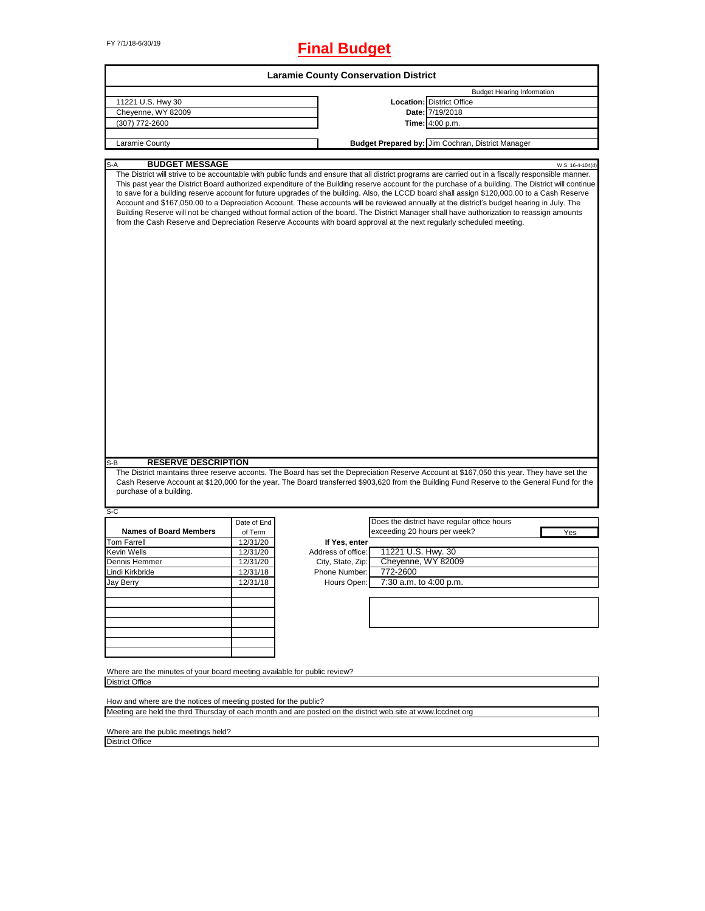# FY 7/1/18-6/30/19 **Final Budget**

| <b>Laramie County Conservation District</b>                                                                                                                                     |             |                    |                                                                                                                                                                                                                                                                                                                                                                                                                                                                                                                                                                                                                                                                                                                                                                                                                                                                                 |                  |  |  |
|---------------------------------------------------------------------------------------------------------------------------------------------------------------------------------|-------------|--------------------|---------------------------------------------------------------------------------------------------------------------------------------------------------------------------------------------------------------------------------------------------------------------------------------------------------------------------------------------------------------------------------------------------------------------------------------------------------------------------------------------------------------------------------------------------------------------------------------------------------------------------------------------------------------------------------------------------------------------------------------------------------------------------------------------------------------------------------------------------------------------------------|------------------|--|--|
|                                                                                                                                                                                 |             |                    | <b>Budget Hearing Information</b>                                                                                                                                                                                                                                                                                                                                                                                                                                                                                                                                                                                                                                                                                                                                                                                                                                               |                  |  |  |
| 11221 U.S. Hwy 30                                                                                                                                                               |             |                    | <b>Location: District Office</b>                                                                                                                                                                                                                                                                                                                                                                                                                                                                                                                                                                                                                                                                                                                                                                                                                                                |                  |  |  |
| Cheyenne, WY 82009                                                                                                                                                              |             |                    | Date: 7/19/2018                                                                                                                                                                                                                                                                                                                                                                                                                                                                                                                                                                                                                                                                                                                                                                                                                                                                 |                  |  |  |
| (307) 772-2600                                                                                                                                                                  |             |                    | <b>Time:</b> 4:00 p.m.                                                                                                                                                                                                                                                                                                                                                                                                                                                                                                                                                                                                                                                                                                                                                                                                                                                          |                  |  |  |
|                                                                                                                                                                                 |             |                    |                                                                                                                                                                                                                                                                                                                                                                                                                                                                                                                                                                                                                                                                                                                                                                                                                                                                                 |                  |  |  |
| Laramie County                                                                                                                                                                  |             |                    | Budget Prepared by: Jim Cochran, District Manager                                                                                                                                                                                                                                                                                                                                                                                                                                                                                                                                                                                                                                                                                                                                                                                                                               |                  |  |  |
| <b>BUDGET MESSAGE</b><br>$S-A$                                                                                                                                                  |             |                    |                                                                                                                                                                                                                                                                                                                                                                                                                                                                                                                                                                                                                                                                                                                                                                                                                                                                                 | W.S. 16-4-104(d) |  |  |
|                                                                                                                                                                                 |             |                    | The District will strive to be accountable with public funds and ensure that all district programs are carried out in a fiscally responsible manner.<br>This past year the District Board authorized expenditure of the Building reserve account for the purchase of a building. The District will continue<br>to save for a building reserve account for future upgrades of the building. Also, the LCCD board shall assign \$120,000.00 to a Cash Reserve<br>Account and \$167,050.00 to a Depreciation Account. These accounts will be reviewed annually at the district's budget hearing in July. The<br>Building Reserve will not be changed without formal action of the board. The District Manager shall have authorization to reassign amounts<br>from the Cash Reserve and Depreciation Reserve Accounts with board approval at the next regularly scheduled meeting. |                  |  |  |
| <b>RESERVE DESCRIPTION</b><br>S-B                                                                                                                                               |             |                    |                                                                                                                                                                                                                                                                                                                                                                                                                                                                                                                                                                                                                                                                                                                                                                                                                                                                                 |                  |  |  |
|                                                                                                                                                                                 |             |                    | The District maintains three reserve acconts. The Board has set the Depreciation Reserve Account at \$167,050 this year. They have set the                                                                                                                                                                                                                                                                                                                                                                                                                                                                                                                                                                                                                                                                                                                                      |                  |  |  |
| purchase of a building.                                                                                                                                                         |             |                    | Cash Reserve Account at \$120,000 for the year. The Board transferred \$903,620 from the Building Fund Reserve to the General Fund for the                                                                                                                                                                                                                                                                                                                                                                                                                                                                                                                                                                                                                                                                                                                                      |                  |  |  |
| S-C                                                                                                                                                                             |             |                    |                                                                                                                                                                                                                                                                                                                                                                                                                                                                                                                                                                                                                                                                                                                                                                                                                                                                                 |                  |  |  |
|                                                                                                                                                                                 | Date of End |                    | Does the district have regular office hours                                                                                                                                                                                                                                                                                                                                                                                                                                                                                                                                                                                                                                                                                                                                                                                                                                     |                  |  |  |
| <b>Names of Board Members</b>                                                                                                                                                   | of Term     |                    | exceeding 20 hours per week?                                                                                                                                                                                                                                                                                                                                                                                                                                                                                                                                                                                                                                                                                                                                                                                                                                                    | Yes              |  |  |
| <b>Tom Farrell</b>                                                                                                                                                              | 12/31/20    | If Yes, enter      |                                                                                                                                                                                                                                                                                                                                                                                                                                                                                                                                                                                                                                                                                                                                                                                                                                                                                 |                  |  |  |
| Kevin Wells                                                                                                                                                                     | 12/31/20    | Address of office: | 11221 U.S. Hwy. 30                                                                                                                                                                                                                                                                                                                                                                                                                                                                                                                                                                                                                                                                                                                                                                                                                                                              |                  |  |  |
| Dennis Hemmer                                                                                                                                                                   | 12/31/20    | City, State, Zip:  | Cheyenne, WY 82009                                                                                                                                                                                                                                                                                                                                                                                                                                                                                                                                                                                                                                                                                                                                                                                                                                                              |                  |  |  |
| Lindi Kirkbride                                                                                                                                                                 | 12/31/18    | Phone Number:      | 772-2600                                                                                                                                                                                                                                                                                                                                                                                                                                                                                                                                                                                                                                                                                                                                                                                                                                                                        |                  |  |  |
| Jay Berry                                                                                                                                                                       | 12/31/18    | Hours Open:        | 7:30 a.m. to 4:00 p.m.                                                                                                                                                                                                                                                                                                                                                                                                                                                                                                                                                                                                                                                                                                                                                                                                                                                          |                  |  |  |
|                                                                                                                                                                                 |             |                    |                                                                                                                                                                                                                                                                                                                                                                                                                                                                                                                                                                                                                                                                                                                                                                                                                                                                                 |                  |  |  |
|                                                                                                                                                                                 |             |                    |                                                                                                                                                                                                                                                                                                                                                                                                                                                                                                                                                                                                                                                                                                                                                                                                                                                                                 |                  |  |  |
|                                                                                                                                                                                 |             |                    |                                                                                                                                                                                                                                                                                                                                                                                                                                                                                                                                                                                                                                                                                                                                                                                                                                                                                 |                  |  |  |
|                                                                                                                                                                                 |             |                    |                                                                                                                                                                                                                                                                                                                                                                                                                                                                                                                                                                                                                                                                                                                                                                                                                                                                                 |                  |  |  |
|                                                                                                                                                                                 |             |                    |                                                                                                                                                                                                                                                                                                                                                                                                                                                                                                                                                                                                                                                                                                                                                                                                                                                                                 |                  |  |  |
|                                                                                                                                                                                 |             |                    |                                                                                                                                                                                                                                                                                                                                                                                                                                                                                                                                                                                                                                                                                                                                                                                                                                                                                 |                  |  |  |
| Where are the minutes of your board meeting available for public review?                                                                                                        |             |                    |                                                                                                                                                                                                                                                                                                                                                                                                                                                                                                                                                                                                                                                                                                                                                                                                                                                                                 |                  |  |  |
| <b>District Office</b>                                                                                                                                                          |             |                    |                                                                                                                                                                                                                                                                                                                                                                                                                                                                                                                                                                                                                                                                                                                                                                                                                                                                                 |                  |  |  |
|                                                                                                                                                                                 |             |                    |                                                                                                                                                                                                                                                                                                                                                                                                                                                                                                                                                                                                                                                                                                                                                                                                                                                                                 |                  |  |  |
| How and where are the notices of meeting posted for the public?<br>Meeting are held the third Thursday of each month and are posted on the district web site at www.lccdnet.org |             |                    |                                                                                                                                                                                                                                                                                                                                                                                                                                                                                                                                                                                                                                                                                                                                                                                                                                                                                 |                  |  |  |

Where are the public meetings held? District Office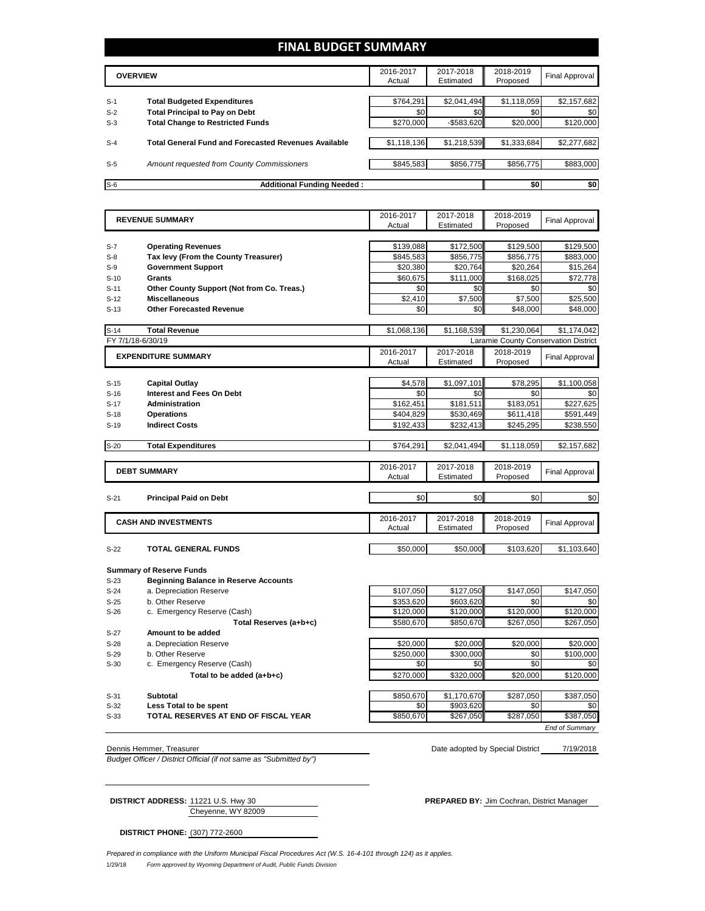# **FINAL BUDGET SUMMARY**

|       | <b>OVERVIEW</b>                                             |             | 2017-2018<br>Estimated | 2018-2019<br>Proposed | Final Approval |
|-------|-------------------------------------------------------------|-------------|------------------------|-----------------------|----------------|
|       |                                                             |             |                        |                       |                |
| $S-1$ | <b>Total Budgeted Expenditures</b>                          | \$764.291   | \$2,041,494            | \$1,118,059           | \$2,157,682    |
| $S-2$ | <b>Total Principal to Pay on Debt</b>                       | \$0         | \$0                    | \$0                   | \$0            |
| $S-3$ | <b>Total Change to Restricted Funds</b>                     | \$270,000   | $-$ \$583,620          | \$20,000              | \$120,000      |
|       |                                                             |             |                        |                       |                |
| $S-4$ | <b>Total General Fund and Forecasted Revenues Available</b> | \$1,118,136 | \$1,218,539            | \$1,333,684           | \$2,277,682    |
|       |                                                             |             |                        |                       |                |
| $S-5$ | Amount requested from County Commissioners                  | \$845.583   | \$856,775              | \$856.775             | \$883,000      |
|       |                                                             |             |                        |                       |                |
| $S-6$ | <b>Additional Funding Needed:</b>                           |             |                        | \$0                   | \$0            |

|                            | <b>REVENUE SUMMARY</b>                                                  | 2016-2017              | 2017-2018              | 2018-2019                            | <b>Final Approval</b> |
|----------------------------|-------------------------------------------------------------------------|------------------------|------------------------|--------------------------------------|-----------------------|
|                            |                                                                         | Actual                 | Estimated              | Proposed                             |                       |
|                            |                                                                         |                        |                        |                                      |                       |
| $S-7$                      | <b>Operating Revenues</b>                                               | \$139,088              | \$172,500              | \$129,500                            | \$129,500             |
| $S-8$                      | Tax levy (From the County Treasurer)                                    | \$845,583              | \$856,775              | \$856,775                            | \$883,000             |
| $S-9$                      | <b>Government Support</b>                                               | \$20,380               | \$20,764               | \$20,264                             | \$15,264              |
| $S-10$                     | <b>Grants</b>                                                           | \$60.675               | \$111,000              | \$168.025                            | \$72,778              |
| $S-11$                     | Other County Support (Not from Co. Treas.)                              | \$0                    | \$0                    | \$0                                  | \$0                   |
| $S-12$                     | <b>Miscellaneous</b>                                                    | \$2.410                | \$7,500                | \$7,500                              | \$25,500              |
| $S-13$                     | <b>Other Forecasted Revenue</b>                                         | \$0                    | \$0                    | \$48,000                             | \$48,000              |
|                            |                                                                         |                        |                        |                                      |                       |
| $S-14$                     | <b>Total Revenue</b>                                                    | \$1,068,136            | \$1,168,539            | \$1,230,064                          | \$1,174,042           |
|                            | FY 7/1/18-6/30/19                                                       |                        |                        | Laramie County Conservation District |                       |
| <b>EXPENDITURE SUMMARY</b> |                                                                         | 2016-2017              | 2017-2018              | 2018-2019                            |                       |
|                            |                                                                         | Actual                 | Estimated              | Proposed                             | Final Approval        |
|                            |                                                                         |                        |                        |                                      |                       |
| $S-15$                     | <b>Capital Outlay</b>                                                   | \$4,578                | \$1,097,101            | \$78,295                             | \$1,100,058           |
| $S-16$                     | <b>Interest and Fees On Debt</b>                                        | \$0                    | \$0                    | \$0                                  | \$0                   |
| $S-17$                     | <b>Administration</b>                                                   | \$162,451              | \$181,511              | \$183,051                            | \$227,625             |
| $S-18$                     | <b>Operations</b>                                                       | \$404,829              | \$530,469              | \$611,418                            | \$591,449             |
| $S-19$                     | <b>Indirect Costs</b>                                                   | \$192,433              | \$232,413              | \$245,295                            | \$238,550             |
|                            |                                                                         |                        |                        |                                      |                       |
| $S-20$                     | <b>Total Expenditures</b>                                               | \$764,291              | \$2,041,494            | \$1,118,059                          | \$2,157,682           |
|                            |                                                                         |                        |                        |                                      |                       |
|                            | <b>DEBT SUMMARY</b>                                                     | 2016-2017              | 2017-2018              | 2018-2019                            | <b>Final Approval</b> |
|                            |                                                                         | Actual                 | Estimated              | Proposed                             |                       |
|                            |                                                                         |                        |                        |                                      |                       |
| $S-21$                     | <b>Principal Paid on Debt</b>                                           | \$0                    | \$0                    | \$0                                  | \$0                   |
|                            |                                                                         |                        |                        |                                      |                       |
|                            | <b>CASH AND INVESTMENTS</b>                                             | 2016-2017              | 2017-2018              | 2018-2019                            | Final Approval        |
|                            |                                                                         | Actual                 | Estimated              | Proposed                             |                       |
|                            |                                                                         |                        |                        |                                      |                       |
| $S-22$                     | <b>TOTAL GENERAL FUNDS</b>                                              | \$50,000               | \$50,000               | \$103,620                            | \$1,103,640           |
|                            |                                                                         |                        |                        |                                      |                       |
|                            | <b>Summary of Reserve Funds</b>                                         |                        |                        |                                      |                       |
| $S-23$                     | <b>Beginning Balance in Reserve Accounts</b><br>a. Depreciation Reserve |                        |                        |                                      |                       |
| $S-24$                     | b. Other Reserve                                                        | \$107,050<br>\$353,620 | \$127,050<br>\$603,620 | \$147,050                            | \$147,050             |
| $S-25$<br>$S-26$           |                                                                         | \$120,000              | \$120,000              | \$0<br>\$120,000                     | \$0<br>\$120,000      |
|                            | c. Emergency Reserve (Cash)                                             |                        |                        |                                      |                       |
|                            | Total Reserves (a+b+c)                                                  | \$580,670              | \$850,670              | \$267,050                            | \$267,050             |
| $S-27$                     | Amount to be added                                                      |                        |                        |                                      |                       |
| $S-28$                     | a. Depreciation Reserve                                                 | \$20,000               | \$20,000               | \$20,000                             | \$20,000              |
| $S-29$                     | b. Other Reserve                                                        | \$250,000<br>\$0       | \$300,000<br>\$0       | \$0<br>\$0                           | \$100,000<br>\$0      |
| $S-30$                     | c. Emergency Reserve (Cash)                                             |                        |                        |                                      |                       |
|                            | Total to be added (a+b+c)                                               | \$270,000              | \$320,000              | \$20,000                             | \$120,000             |

S-31 **Subtotal** \$380,670 \$1,170,670 \$287,050 \$387,050 **S-32 Less Total to be spent be spent because the set of the set of the set of the set of the set of the set of the set of the set of the set of the set of the set of the set of the set of the set of the set of the s S-33 TOTAL RESERVES AT END OF FISCAL YEAR \$850,670** \$267,050 \$287,050 \$387,050 *End of Summary*

*Budget Officer / District Official (if not same as "Submitted by")*

7/19/2018 Dennis Hemmer, Treasurer National Dennis Hemmer, Treasurer National Dennis Hemmer, Treasurer National District

Cheyenne, WY 82009

**DISTRICT ADDRESS:** 11221 U.S. Hwy 30 **PREPARED BY:** Jim Cochran, District Manager

**DISTRICT PHONE:** (307) 772-2600

1/29/18 *Form approved by Wyoming Department of Audit, Public Funds Division Prepared in compliance with the Uniform Municipal Fiscal Procedures Act (W.S. 16-4-101 through 124) as it applies.*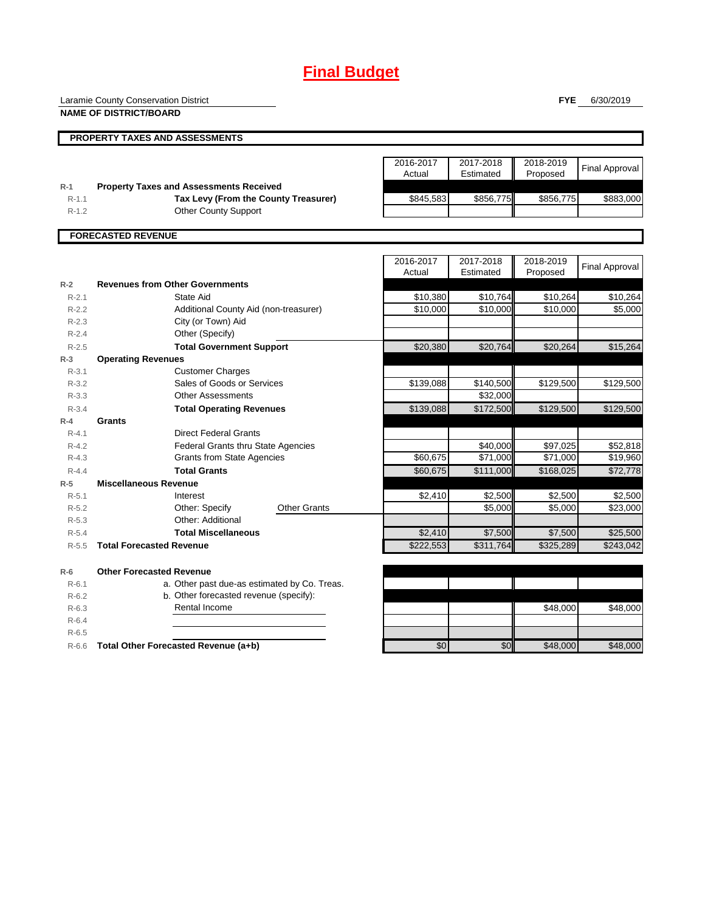# **Final Budget**

Laramie County Conservation District

**NAME OF DISTRICT/BOARD**

**FYE** 6/30/2019

|           | <b>PROPERTY TAXES AND ASSESSMENTS</b>          |                     |                        |                       |                |
|-----------|------------------------------------------------|---------------------|------------------------|-----------------------|----------------|
|           |                                                | 2016-2017<br>Actual | 2017-2018<br>Estimated | 2018-2019<br>Proposed | Final Approval |
| $R-1$     | <b>Property Taxes and Assessments Received</b> |                     |                        |                       |                |
| $R-1.1$   | Tax Levy (From the County Treasurer)           | \$845,583           | \$856,775              | \$856,775             | \$883,000      |
| $R-1.2$   | <b>Other County Support</b>                    |                     |                        |                       |                |
|           |                                                |                     |                        |                       |                |
|           | <b>FORECASTED REVENUE</b>                      |                     |                        |                       |                |
|           |                                                |                     |                        |                       |                |
|           |                                                | 2016-2017           | 2017-2018              | 2018-2019             |                |
|           |                                                | Actual              | Estimated              | Proposed              | Final Approval |
| $R-2$     | <b>Revenues from Other Governments</b>         |                     |                        |                       |                |
| $R - 2.1$ | State Aid                                      | \$10,380            | \$10.764               | \$10.264              | \$10.264       |

| K-∠       | Revenues from Other Governments              |                     |           |           |           |           |
|-----------|----------------------------------------------|---------------------|-----------|-----------|-----------|-----------|
| $R - 2.1$ | State Aid                                    |                     | \$10,380  | \$10,764  | \$10,264  | \$10,264  |
| $R-2.2$   | Additional County Aid (non-treasurer)        |                     | \$10,000  | \$10,000  | \$10,000  | \$5,000   |
| $R-2.3$   | City (or Town) Aid                           |                     |           |           |           |           |
| $R - 2.4$ | Other (Specify)                              |                     |           |           |           |           |
| $R-2.5$   | <b>Total Government Support</b>              |                     | \$20,380  | \$20,764  | \$20,264  | \$15,264  |
| $R-3$     | <b>Operating Revenues</b>                    |                     |           |           |           |           |
| $R - 3.1$ | <b>Customer Charges</b>                      |                     |           |           |           |           |
| $R - 3.2$ | Sales of Goods or Services                   |                     | \$139,088 | \$140,500 | \$129,500 | \$129,500 |
| $R - 3.3$ | <b>Other Assessments</b>                     |                     |           | \$32,000  |           |           |
| $R - 3.4$ | <b>Total Operating Revenues</b>              |                     | \$139,088 | \$172,500 | \$129,500 | \$129,500 |
| $R-4$     | Grants                                       |                     |           |           |           |           |
| $R - 4.1$ | <b>Direct Federal Grants</b>                 |                     |           |           |           |           |
| $R - 4.2$ | <b>Federal Grants thru State Agencies</b>    |                     |           | \$40,000  | \$97,025  | \$52,818  |
| $R - 4.3$ | <b>Grants from State Agencies</b>            |                     | \$60,675  | \$71,000  | \$71,000  | \$19,960  |
| $R - 4.4$ | <b>Total Grants</b>                          |                     | \$60,675  | \$111,000 | \$168,025 | \$72,778  |
| $R-5$     | <b>Miscellaneous Revenue</b>                 |                     |           |           |           |           |
| $R - 5.1$ | Interest                                     |                     | \$2,410   | \$2,500   | \$2,500   | \$2,500   |
| $R-5.2$   | Other: Specify                               | <b>Other Grants</b> |           | \$5,000   | \$5,000   | \$23,000  |
| $R - 5.3$ | Other: Additional                            |                     |           |           |           |           |
| $R - 5.4$ | <b>Total Miscellaneous</b>                   |                     | \$2,410   | \$7,500   | \$7,500   | \$25,500  |
| $R - 5.5$ | <b>Total Forecasted Revenue</b>              |                     | \$222,553 | \$311,764 | \$325,289 | \$243,042 |
| $R-6$     | <b>Other Forecasted Revenue</b>              |                     |           |           |           |           |
| $R-6.1$   | a. Other past due-as estimated by Co. Treas. |                     |           |           |           |           |
| $R-6.2$   | b. Other forecasted revenue (specify):       |                     |           |           |           |           |
| $R-6.3$   | Rental Income                                |                     |           |           | \$48,000  | \$48,000  |
| $R-6.4$   |                                              |                     |           |           |           |           |
| $R - 6.5$ |                                              |                     |           |           |           |           |
| $R-6.6$   | Total Other Forecasted Revenue (a+b)         |                     | \$0       | \$0       | \$48,000  | \$48,000  |
|           |                                              |                     |           |           |           |           |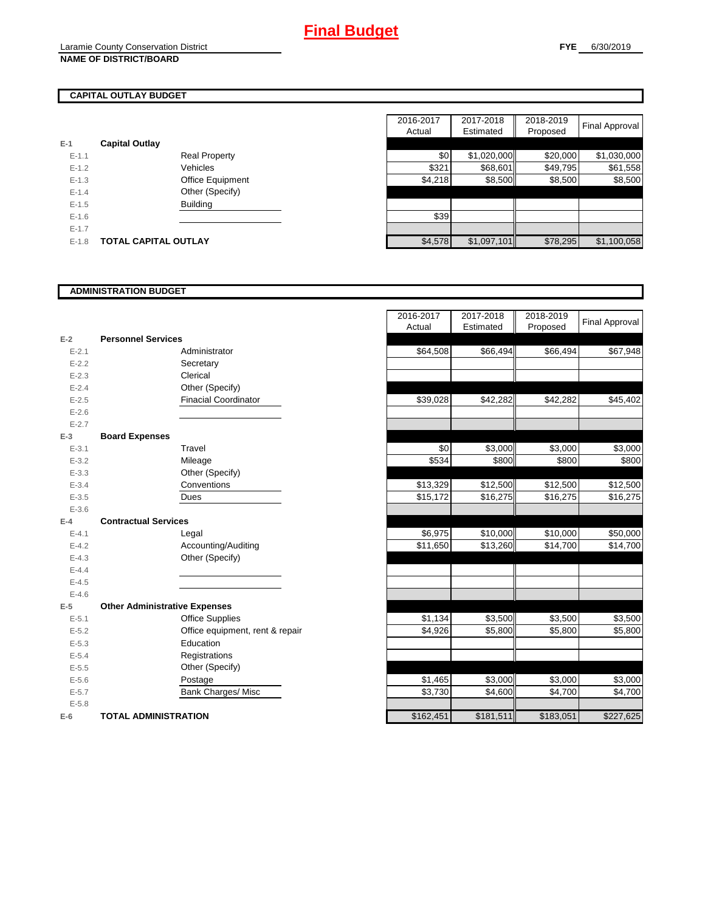# **CAPITAL OUTLAY BUDGET**

|           |                             | Auuai   |
|-----------|-----------------------------|---------|
| $E-1$     | <b>Capital Outlay</b>       |         |
| $E - 1.1$ | <b>Real Property</b>        | \$0     |
| $E-1.2$   | Vehicles                    | \$321   |
| $E-1.3$   | Office Equipment            | \$4,218 |
| $E - 1.4$ | Other (Specify)             |         |
| $E-1.5$   | <b>Building</b>             |         |
| $E - 1.6$ |                             | \$39    |
| $E-1.7$   |                             |         |
| $E-1.8$   | <b>TOTAL CAPITAL OUTLAY</b> | \$4.578 |

|           |                             | 2016-2017 | 2017-2018   | 2018-2019 |                |
|-----------|-----------------------------|-----------|-------------|-----------|----------------|
|           |                             | Actual    | Estimated   | Proposed  | Final Approval |
|           | <b>Capital Outlay</b>       |           |             |           |                |
| $E - 1.1$ | <b>Real Property</b>        | \$0       | \$1,020,000 | \$20,000  | \$1,030,000    |
| $E-1.2$   | Vehicles                    | \$321     | \$68,601    | \$49,795  | \$61,558       |
| $E-1.3$   | Office Equipment            | \$4,218   | \$8,500     | \$8,500   | \$8,500        |
| $E - 1.4$ | Other (Specify)             |           |             |           |                |
| $E-1.5$   | <b>Building</b>             |           |             |           |                |
| $E-1.6$   |                             | \$39      |             |           |                |
| $E - 1.7$ |                             |           |             |           |                |
| $E-1.8$   | <b>TOTAL CAPITAL OUTLAY</b> | \$4,578   | \$1,097,101 | \$78,295  | \$1,100,058    |

## **ADMINISTRATION BUDGET**

| $E-2$     | <b>Personnel Services</b>            |                               |
|-----------|--------------------------------------|-------------------------------|
| $E - 2.1$ |                                      | Administrator                 |
| $E - 2.2$ |                                      | Secretary                     |
| $E - 2.3$ |                                      | Clerical                      |
| $E - 2.4$ |                                      | Other (Specify)               |
| $E - 2.5$ |                                      | <b>Finacial Coordinator</b>   |
| $E - 2.6$ |                                      |                               |
| $E - 2.7$ |                                      |                               |
| $E-3$     | <b>Board Expenses</b>                |                               |
| $E - 3.1$ |                                      | Travel                        |
| $E - 3.2$ |                                      | Mileage                       |
| $E - 3.3$ |                                      | Other (Specify)               |
| $E - 3.4$ |                                      | Conventions                   |
| $E - 3.5$ |                                      | Dues                          |
| $E - 3.6$ |                                      |                               |
| $E-4$     | <b>Contractual Services</b>          |                               |
| $E - 4.1$ |                                      | Legal                         |
| $E - 4.2$ |                                      | Accounting/Auditing           |
| $E - 4.3$ |                                      | Other (Specify)               |
| $E-4.4$   |                                      |                               |
| $E - 4.5$ |                                      |                               |
| $E - 4.6$ |                                      |                               |
| $E-5$     | <b>Other Administrative Expenses</b> |                               |
| $E - 5.1$ |                                      | <b>Office Supplies</b>        |
| $E - 5.2$ |                                      | Office equipment, rent & repa |
| $E - 5.3$ |                                      | Education                     |
| $E - 5.4$ |                                      | Registrations                 |
| $E - 5.5$ |                                      | Other (Specify)               |
| $E - 5.6$ |                                      | Postage                       |
| $E - 5.7$ |                                      | <b>Bank Charges/ Misc</b>     |
| $E - 5.8$ |                                      |                               |
| $E-6$     | TOTAL ADMINISTRATION                 |                               |

|                          |                                      | 2016-2017<br>Actual | 2017-2018<br>Estimated | 2018-2019<br>Proposed | <b>Final Approval</b> |
|--------------------------|--------------------------------------|---------------------|------------------------|-----------------------|-----------------------|
| Ž                        | <b>Personnel Services</b>            |                     |                        |                       |                       |
| $E - 2.1$                | Administrator                        | \$64,508            | \$66,494               | \$66,494              | \$67,948              |
| $E - 2.2$                | Secretary                            |                     |                        |                       |                       |
| $E - 2.3$                | Clerical                             |                     |                        |                       |                       |
| $E - 2.4$                | Other (Specify)                      |                     |                        |                       |                       |
| $E - 2.5$                | <b>Finacial Coordinator</b>          | \$39,028            | \$42,282               | \$42,282              | \$45,402              |
| $E - 2.6$                |                                      |                     |                        |                       |                       |
| $E - 2.7$                |                                      |                     |                        |                       |                       |
| $\overline{\phantom{a}}$ | <b>Board Expenses</b>                |                     |                        |                       |                       |
| $E - 3.1$                | Travel                               | \$0                 | \$3,000                | \$3,000               | \$3,000               |
| $E - 3.2$                | Mileage                              | \$534               | \$800                  | \$800                 | \$800                 |
| $E - 3.3$                | Other (Specify)                      |                     |                        |                       |                       |
| $E - 3.4$                | Conventions                          | \$13,329            | \$12,500               | \$12,500              | \$12,500              |
| $E - 3.5$                | Dues                                 | \$15,172            | \$16,275               | \$16,275              | \$16,275              |
| $E - 3.6$                |                                      |                     |                        |                       |                       |
| Ļ.                       | <b>Contractual Services</b>          |                     |                        |                       |                       |
| $E - 4.1$                | Legal                                | \$6,975             | \$10,000               | \$10,000              | \$50,000              |
| $E - 4.2$                | Accounting/Auditing                  | \$11,650            | \$13,260               | \$14,700              | \$14,700              |
| $E - 4.3$                | Other (Specify)                      |                     |                        |                       |                       |
| $E - 4.4$                |                                      |                     |                        |                       |                       |
| $E - 4.5$                |                                      |                     |                        |                       |                       |
| $E - 4.6$                |                                      |                     |                        |                       |                       |
| $\overline{\mathbf{5}}$  | <b>Other Administrative Expenses</b> |                     |                        |                       |                       |
| $E - 5.1$                | <b>Office Supplies</b>               | \$1,134             | \$3,500                | \$3,500               | \$3,500               |
| $E - 5.2$                | Office equipment, rent & repair      | \$4,926             | \$5,800                | \$5,800               | \$5,800               |
| $E - 5.3$                | Education                            |                     |                        |                       |                       |
| $E - 5.4$                | Registrations                        |                     |                        |                       |                       |
| $E - 5.5$                | Other (Specify)                      |                     |                        |                       |                       |
| $E - 5.6$                | Postage                              | \$1,465             | \$3,000                | \$3,000               | \$3,000               |
| $E - 5.7$                | <b>Bank Charges/ Misc</b>            | \$3,730             | \$4,600                | \$4,700               | \$4,700               |
| $E - 5.8$                |                                      |                     |                        |                       |                       |
| ì                        | <b>TOTAL ADMINISTRATION</b>          | \$162,451           | \$181,511              | \$183,051             | \$227,625             |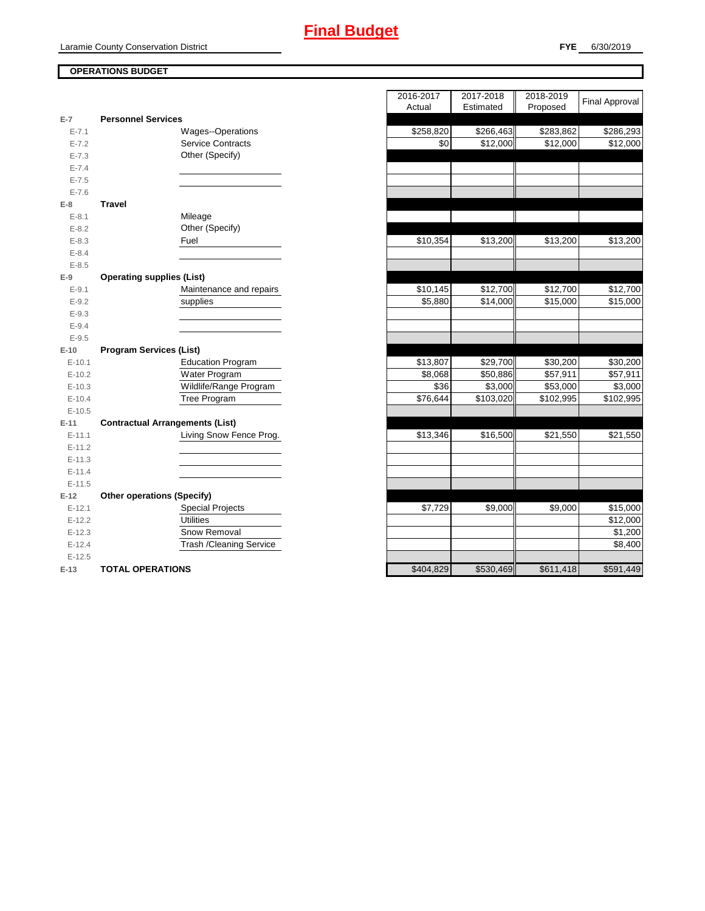# **OPERATIONS BUDGET**

| $E-7$      | <b>Personnel Services</b>              |
|------------|----------------------------------------|
| $E - 7.1$  | Wages--Operations                      |
| $E - 7.2$  | <b>Service Contracts</b>               |
| $E - 7.3$  | Other (Specify)                        |
| $E - 7.4$  |                                        |
| $E - 7.5$  |                                        |
| $E - 7.6$  |                                        |
| E-8        | <b>Travel</b>                          |
| $E - 8.1$  | Mileage                                |
| $E - 8.2$  | Other (Specify)                        |
| $E - 8.3$  | Fuel                                   |
| $E - 8.4$  |                                        |
| $E - 8.5$  |                                        |
| E-9        | <b>Operating supplies (List)</b>       |
| $E - 9.1$  | Maintenance and repairs                |
| $E - 9.2$  | supplies                               |
| $E - 9.3$  |                                        |
| $E - 9.4$  |                                        |
| $E - 9.5$  |                                        |
| $E-10$     | <b>Program Services (List)</b>         |
| $E-10.1$   | <b>Education Program</b>               |
| $E-10.2$   | Water Program                          |
| $E-10.3$   | Wildlife/Range Program                 |
| $E-10.4$   | <b>Tree Program</b>                    |
| $E-10.5$   |                                        |
| $E-11$     | <b>Contractual Arrangements (List)</b> |
| $E - 11.1$ | Living Snow Fence Prog.                |
| $E-11.2$   |                                        |
| $E-11.3$   |                                        |
| $E-11.4$   |                                        |
| $E-11.5$   |                                        |
| $E-12$     | <b>Other operations (Specify)</b>      |
| $E-12.1$   | <b>Special Projects</b>                |
| $E-12.2$   | Utilities                              |
| $E-12.3$   | Snow Removal                           |
| $E-12.4$   | <b>Trash /Cleaning Service</b>         |
| $E-12.5$   |                                        |
| $E-13$     | <b>TOTAL OPERATIONS</b>                |

|                   |                                        | 2016-2017 | 2017-2018 | 2018-2019 | <b>Final Approval</b> |
|-------------------|----------------------------------------|-----------|-----------|-----------|-----------------------|
|                   |                                        | Actual    | Estimated | Proposed  |                       |
| E-7               | <b>Personnel Services</b>              |           |           |           |                       |
| $E - 7.1$         | Wages--Operations                      | \$258,820 | \$266,463 | \$283,862 | \$286,293             |
| $E - 7.2$         | <b>Service Contracts</b>               | \$0       | \$12,000  | \$12,000  | \$12,000              |
| $E - 7.3$         | Other (Specify)                        |           |           |           |                       |
| $E - 7.4$         |                                        |           |           |           |                       |
| $E - 7.5$         |                                        |           |           |           |                       |
| $E - 7.6$         |                                        |           |           |           |                       |
| E-8               | <b>Travel</b>                          |           |           |           |                       |
| $E - 8.1$         | Mileage                                |           |           |           |                       |
| $E - 8.2$         | Other (Specify)                        |           |           |           |                       |
| $E - 8.3$         | Fuel                                   | \$10,354  | \$13,200  | \$13,200  | \$13,200              |
| $E - 8.4$         |                                        |           |           |           |                       |
| $E - 8.5$         |                                        |           |           |           |                       |
| $E-9$             | <b>Operating supplies (List)</b>       |           |           |           |                       |
| $E-9.1$           | Maintenance and repairs                | \$10,145  | \$12,700  | \$12,700  | \$12,700              |
| $E-9.2$           | supplies                               | \$5,880   | \$14,000  | \$15,000  | \$15,000              |
| $E - 9.3$         |                                        |           |           |           |                       |
| $E - 9.4$         |                                        |           |           |           |                       |
| $E-9.5$<br>$E-10$ | <b>Program Services (List)</b>         |           |           |           |                       |
| $E-10.1$          | <b>Education Program</b>               | \$13,807  | \$29,700  | \$30,200  | \$30,200              |
| $E-10.2$          | Water Program                          | \$8,068   | \$50,886  | \$57,911  | \$57,911              |
| $E-10.3$          | Wildlife/Range Program                 | \$36      | \$3,000   | \$53,000  | \$3,000               |
| $E-10.4$          | Tree Program                           | \$76,644  | \$103,020 | \$102,995 | \$102,995             |
| $E-10.5$          |                                        |           |           |           |                       |
| $E-11$            | <b>Contractual Arrangements (List)</b> |           |           |           |                       |
| $E-11.1$          | Living Snow Fence Prog.                | \$13,346  | \$16,500  | \$21,550  | \$21,550              |
| $E-11.2$          |                                        |           |           |           |                       |
| $E-11.3$          |                                        |           |           |           |                       |
| $E-11.4$          |                                        |           |           |           |                       |
| $E-11.5$          |                                        |           |           |           |                       |
| $E-12$            | <b>Other operations (Specify)</b>      |           |           |           |                       |
| $E-12.1$          | <b>Special Projects</b>                | \$7,729   | \$9,000   | \$9,000   | \$15,000              |
| $E-12.2$          | <b>Utilities</b>                       |           |           |           | \$12,000              |
| $E-12.3$          | Snow Removal                           |           |           |           | $\overline{$}1,200$   |
| $E-12.4$          | Trash / Cleaning Service               |           |           |           | \$8,400               |
| $E-12.5$          |                                        |           |           |           |                       |
| $E-13$            | <b>TOTAL OPERATIONS</b>                | \$404,829 | \$530,469 | \$611,418 | \$591,449             |
|                   |                                        |           |           |           |                       |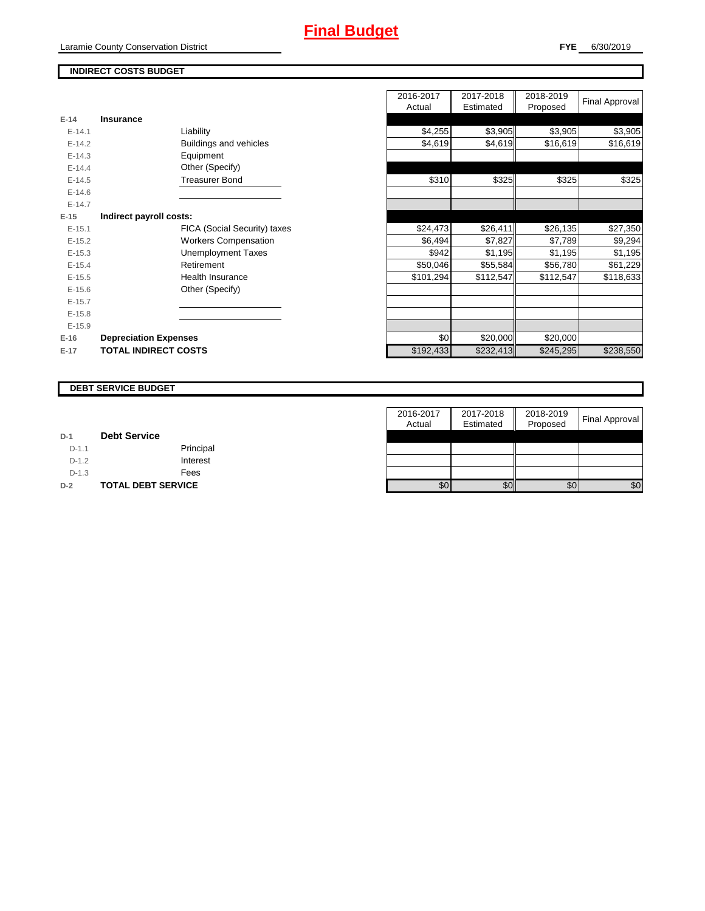Laramie County Conservation District

# **INDIRECT COSTS BUDGET**

| $E-14$   | <b>Insurance</b>             |           |           |           |
|----------|------------------------------|-----------|-----------|-----------|
| $E-14.1$ | Liability                    | \$4,255   | \$3,905   | \$3,905   |
| $E-14.2$ | Buildings and vehicles       | \$4,619   | \$4,619   | \$16,619  |
| $E-14.3$ | Equipment                    |           |           |           |
| $E-14.4$ | Other (Specify)              |           |           |           |
| $E-14.5$ | <b>Treasurer Bond</b>        | \$310     | \$325     | \$325     |
| $E-14.6$ |                              |           |           |           |
| $E-14.7$ |                              |           |           |           |
| $E-15$   | Indirect payroll costs:      |           |           |           |
| $E-15.1$ | FICA (Social Security) taxes | \$24,473  | \$26,411  | \$26,135  |
| $E-15.2$ | <b>Workers Compensation</b>  | \$6,494   | \$7,827   | \$7,789   |
| $E-15.3$ | Unemployment Taxes           | \$942     | \$1,195   | \$1,195   |
| $E-15.4$ | Retirement                   | \$50,046  | \$55,584  | \$56,780  |
| $E-15.5$ | Health Insurance             | \$101,294 | \$112,547 | \$112,547 |
| $E-15.6$ | Other (Specify)              |           |           |           |
| $E-15.7$ |                              |           |           |           |
| $E-15.8$ |                              |           |           |           |
| $E-15.9$ |                              |           |           |           |
| $E-16$   | <b>Depreciation Expenses</b> | \$0       | \$20,000  | \$20,000  |
| $E-17$   | <b>TOTAL INDIRECT COSTS</b>  | \$192,433 | \$232,413 | \$245,295 |
|          |                              |           |           |           |

|          |                               | 2016-2017 | 2017-2018 | 2018-2019 |                       |
|----------|-------------------------------|-----------|-----------|-----------|-----------------------|
|          |                               | Actual    | Estimated | Proposed  | <b>Final Approval</b> |
| $E-14$   | <b>Insurance</b>              |           |           |           |                       |
| $E-14.1$ | Liability                     | \$4,255   | \$3,905   | \$3,905   | \$3,905               |
| $E-14.2$ | <b>Buildings and vehicles</b> | \$4,619   | \$4,619   | \$16,619  | \$16,619              |
| $E-14.3$ | Equipment                     |           |           |           |                       |
| $E-14.4$ | Other (Specify)               |           |           |           |                       |
| $E-14.5$ | <b>Treasurer Bond</b>         | \$310     | \$325     | \$325     | \$325                 |
| $E-14.6$ |                               |           |           |           |                       |
| $E-14.7$ |                               |           |           |           |                       |
| $E-15$   | Indirect payroll costs:       |           |           |           |                       |
| $E-15.1$ | FICA (Social Security) taxes  | \$24,473  | \$26,411  | \$26,135  | \$27,350              |
| $E-15.2$ | <b>Workers Compensation</b>   | \$6,494   | \$7,827   | \$7,789   | \$9,294               |
| $E-15.3$ | <b>Unemployment Taxes</b>     | \$942     | \$1,195   | \$1,195   | \$1,195               |
| $E-15.4$ | Retirement                    | \$50,046  | \$55,584  | \$56,780  | \$61,229              |
| $E-15.5$ | <b>Health Insurance</b>       | \$101,294 | \$112,547 | \$112,547 | \$118,633             |
| $E-15.6$ | Other (Specify)               |           |           |           |                       |
| $E-15.7$ |                               |           |           |           |                       |
| $E-15.8$ |                               |           |           |           |                       |
| $E-15.9$ |                               |           |           |           |                       |
| $E-16$   | <b>Depreciation Expenses</b>  | \$0       | \$20,000  | \$20,000  |                       |
| $E-17$   | <b>TOTAL INDIRECT COSTS</b>   | \$192,433 | \$232,413 | \$245,295 | \$238,550             |
|          |                               |           |           |           |                       |

#### **DEBT SERVICE BUDGET**

|         |                           | 2016-2017 | 2017-2018 | 2018-2019 | Final Approval |
|---------|---------------------------|-----------|-----------|-----------|----------------|
|         |                           | Actual    | Estimated | Proposed  |                |
| $D-1$   | <b>Debt Service</b>       |           |           |           |                |
| $D-1.1$ | Principal                 |           |           |           |                |
| $D-1.2$ | Interest                  |           |           |           |                |
| $D-1.3$ | Fees                      |           |           |           |                |
| $D-2$   | <b>TOTAL DEBT SERVICE</b> | \$0       | \$0       | \$0       | \$0            |